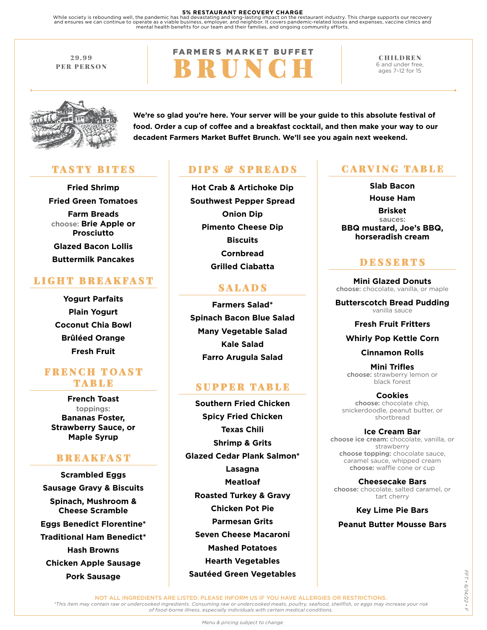#### **5% RESTAURANT RECOVERY CHARGE**

While society is rebounding well, the pandemic has had devastating and long-lasting impact on the restaurant industry. This charge supports our recovery<br>and ensures we can continue to operate as a viable business, employer

29.99 PER PERSON

# **FARMERS MARKET BUFFET** BRUNCH

CHILDREN 6 and under free, ages 7–12 for 15



**We're so glad you're here. Your server will be your guide to this absolute festival of food. Order a cup of coffee and a breakfast cocktail, and then make your way to our decadent Farmers Market Buffet Brunch. We'll see you again next weekend.**

## TASTY BITES

**Fried Shrimp Fried Green Tomatoes Farm Breads** choose: **Brie Apple or Prosciutto Glazed Bacon Lollis Buttermilk Pancakes**

## LIGHT BREAKFAST

**Yogurt Parfaits Plain Yogurt Coconut Chia Bowl Brûléed Orange Fresh Fruit** 

## **FRENGH TOAST** TABLE

**French Toast** toppings: **Bananas Foster, Strawberry Sauce, or Maple Syrup**

## **BREAKFAST**

**Scrambled Eggs Sausage Gravy & Biscuits Spinach, Mushroom & Cheese Scramble Eggs Benedict Florentine\* Traditional Ham Benedict\* Hash Browns Chicken Apple Sausage Pork Sausage**

## DIPS & SPREADS | CARVING TABLE

**Hot Crab & Artichoke Dip Southwest Pepper Spread Onion Dip Pimento Cheese Dip Biscuits Cornbread Grilled Ciabatta**

## SALADS

**Farmers Salad\* Spinach Bacon Blue Salad Many Vegetable Salad Kale Salad Farro Arugula Salad**

## SUPPER TABLE

**Southern Fried Chicken Spicy Fried Chicken Texas Chili Shrimp & Grits Glazed Cedar Plank Salmon\* Lasagna Meatloaf Roasted Turkey & Gravy Chicken Pot Pie Parmesan Grits Seven Cheese Macaroni Mashed Potatoes Hearth Vegetables Sautéed Green Vegetables** 

**Slab Bacon House Ham Brisket** sauces: **BBQ mustard, Joe's BBQ, horseradish cream** 

## **DESSERTS**

**Mini Glazed Donuts**  choose: chocolate, vanilla, or maple

**Butterscotch Bread Pudding**  vanilla sauce

**Fresh Fruit Fritters**

#### **Whirly Pop Kettle Corn**

**Cinnamon Rolls**

**Mini Trifles**  choose: strawberry lemon or black forest

**Cookies** choose: chocolate chip, snickerdoodle, peanut butter, or shortbread

**Ice Cream Bar**  choose ice cream: chocolate, vanilla, or strawberry choose topping: chocolate sauce, caramel sauce, whipped cream choose: waffle cone or cup

**Cheesecake Bars**  choose: chocolate, salted caramel, or tart cherry

**Key Lime Pie Bars Peanut Butter Mousse Bars**

NOT ALL INGREDIENTS ARE LISTED. PLEASE INFORM US IF YOU HAVE ALLERGIES OR RESTRICTIONS.

*\*This item may contain raw or undercooked ingredients. Consuming raw or undercooked meats, poultry, seafood, shellfish, or eggs may increase your risk of food-borne illness, especially individuals with certain medical conditions.*